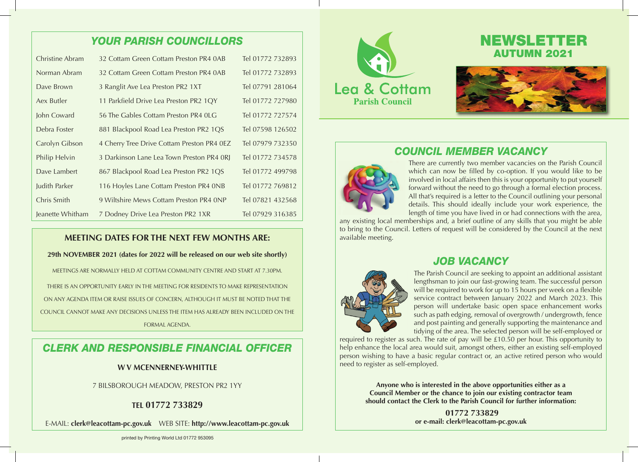## *YOUR PARISH COUNCILLORS*

| Christine Abram  | 32 Cottam Green Cottam Preston PR4 0AB     | Tel 01772 732893 |
|------------------|--------------------------------------------|------------------|
| Norman Abram     | 32 Cottam Green Cottam Preston PR4 0AB     | Tel 01772 732893 |
| Dave Brown       | 3 Ranglit Ave Lea Preston PR2 1XT          | Tel 07791 281064 |
| Aex Butler       | 11 Parkfield Drive Lea Preston PR2 1QY     | Tel 01772 727980 |
| John Coward      | 56 The Gables Cottam Preston PR4 OLG       | Tel 01772 727574 |
| Debra Foster     | 881 Blackpool Road Lea Preston PR2 1QS     | Tel 07598 126502 |
| Carolyn Gibson   | 4 Cherry Tree Drive Cottam Preston PR4 0EZ | Tel 07979 732350 |
| Philip Helvin    | 3 Darkinson Lane Lea Town Preston PR4 0RJ  | Tel 01772 734578 |
| Dave Lambert     | 867 Blackpool Road Lea Preston PR2 1QS     | Tel 01772 499798 |
| Judith Parker    | 116 Hoyles Lane Cottam Preston PR4 0NB     | Tel 01772 769812 |
| Chris Smith      | 9 Wiltshire Mews Cottam Preston PR4 ONP    | Tel 07821 432568 |
| Jeanette Whitham | 7 Dodney Drive Lea Preston PR2 1XR         | Tel 07929 316385 |

### **MEETING DATES FOR THE NEXT FEW MONTHS ARE:**

#### **29th NOVEMBER 2021 (dates for 2022 will be released on our web site shortly)**

MEETINGS ARE NORMALLY HELD AT COTTAM COMMUNITY CENTRE AND START AT 7.30PM. THERE IS AN OPPORTUNITY EARLY IN THE MEETING FOR RESIDENTS TO MAKE REPRESENTATION ON ANY AGENDA ITEM OR RAISE ISSUES OF CONCERN, ALTHOUGH IT MUST BE NOTED THAT THE COUNCIL CANNOT MAKE ANY DECISIONS UNLESS THE ITEM HAS ALREADY BEEN INCLUDED ON THE FORMAL AGENDA.

## *CLERK AND RESPONSIBLE FINANCIAL OFFICER*

#### **W V MCENNERNEY-WHITTLE**

7 BILSBOROUGH MEADOW, PRESTON PR2 1YY

### **TEL 01772 733829**

E-MAIL: **clerk@leacottam-pc.gov.uk** WEB SITE: **http://www.leacottam-pc.gov.uk**



# NEWSLETTER AUTUMN 2021



## *COUNCIL MEMBER VACANCY*



There are currently two member vacancies on the Parish Council which can now be filled by co-option. If you would like to be involved in local affairs then this is your opportunity to put yourself forward without the need to go through a formal election process. All that's required is a letter to the Council outlining your personal details. This should ideally include your work experience, the length of time you have lived in or had connections with the area,

any existing local memberships and, a brief outline of any skills that you might be able to bring to the Council. Letters of request will be considered by the Council at the next available meeting.

## *JOB VACANCY*



The Parish Council are seeking to appoint an additional assistant lengthsman to join our fast-growing team. The successful person will be required to work for up to 15 hours per week on a flexible service contract between January 2022 and March 2023. This person will undertake basic open space enhancement works such as path edging, removal of overgrowth / undergrowth, fence and post painting and generally supporting the maintenance and tidying of the area. The selected person will be self-employed or

required to register as such. The rate of pay will be £10.50 per hour. This opportunity to help enhance the local area would suit, amongst others, either an existing self-employed person wishing to have a basic regular contract or, an active retired person who would need to register as self-employed.

> **Anyone who is interested in the above opportunities either as a Council Member or the chance to join our existing contractor team should contact the Clerk to the Parish Council for further information:**

> > **01772 733829 or e-mail: clerk@leacottam-pc.gov.uk**

printed by Printing World Ltd 01772 953095